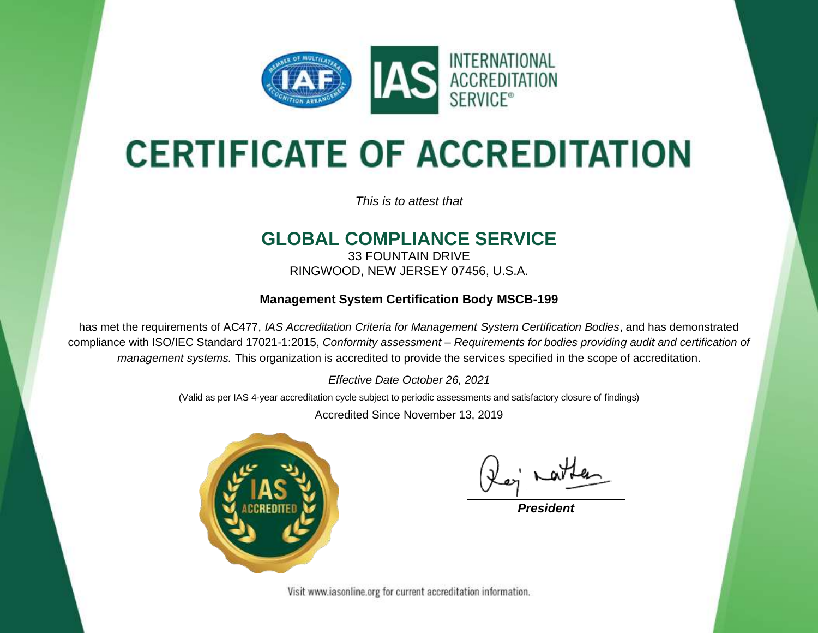

# **CERTIFICATE OF ACCREDITATION**

*This is to attest that*

### **GLOBAL COMPLIANCE SERVICE**

33 FOUNTAIN DRIVE RINGWOOD, NEW JERSEY 07456, U.S.A.

#### **Management System Certification Body MSCB-199**

has met the requirements of AC477, *IAS Accreditation Criteria for Management System Certification Bodies*, and has demonstrated compliance with ISO/IEC Standard 17021-1:2015, *Conformity assessment – Requirements for bodies providing audit and certification of management systems.* This organization is accredited to provide the services specified in the scope of accreditation.

*Effective Date October 26, 2021*

(Valid as per IAS 4-year accreditation cycle subject to periodic assessments and satisfactory closure of findings)

Accredited Since November 13, 2019



**President** 

Visit www.iasonline.org for current accreditation information.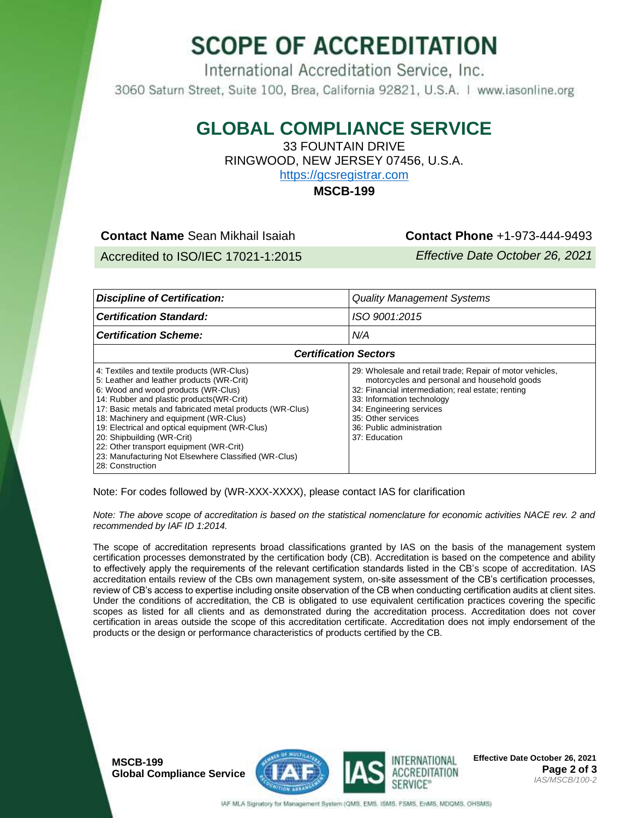## **SCOPE OF ACCREDITATION**

International Accreditation Service, Inc. 3060 Saturn Street, Suite 100, Brea, California 92821, U.S.A. | www.iasonline.org

#### **GLOBAL COMPLIANCE SERVICE**

33 FOUNTAIN DRIVE RINGWOOD, NEW JERSEY 07456, U.S.A. [https://gcsregistrar.com](https://gcsregistrar.com/)

**MSCB-199**

**Contact Name** Sean Mikhail Isaiah **Contact Phone** +1-973-444-9493

Accredited to ISO/IEC 17021-1:2015 *Effective Date October 26, 2021*

| <b>Discipline of Certification:</b>                                                                                                                                                                                                                                                                                                                                                                                                                                                     | <b>Quality Management Systems</b>                                                                                                                                                                                                                                                             |  |  |  |
|-----------------------------------------------------------------------------------------------------------------------------------------------------------------------------------------------------------------------------------------------------------------------------------------------------------------------------------------------------------------------------------------------------------------------------------------------------------------------------------------|-----------------------------------------------------------------------------------------------------------------------------------------------------------------------------------------------------------------------------------------------------------------------------------------------|--|--|--|
| <b>Certification Standard:</b>                                                                                                                                                                                                                                                                                                                                                                                                                                                          | ISO 9001:2015                                                                                                                                                                                                                                                                                 |  |  |  |
| <b>Certification Scheme:</b>                                                                                                                                                                                                                                                                                                                                                                                                                                                            | N/A                                                                                                                                                                                                                                                                                           |  |  |  |
| <b>Certification Sectors</b>                                                                                                                                                                                                                                                                                                                                                                                                                                                            |                                                                                                                                                                                                                                                                                               |  |  |  |
| 4: Textiles and textile products (WR-Clus)<br>5: Leather and leather products (WR-Crit)<br>6: Wood and wood products (WR-Clus)<br>14: Rubber and plastic products (WR-Crit)<br>17: Basic metals and fabricated metal products (WR-Clus)<br>18: Machinery and equipment (WR-Clus)<br>19: Electrical and optical equipment (WR-Clus)<br>20: Shipbuilding (WR-Crit)<br>22: Other transport equipment (WR-Crit)<br>23: Manufacturing Not Elsewhere Classified (WR-Clus)<br>28: Construction | 29: Wholesale and retail trade; Repair of motor vehicles,<br>motorcycles and personal and household goods<br>32: Financial intermediation; real estate; renting<br>33: Information technology<br>34: Engineering services<br>35: Other services<br>36: Public administration<br>37: Education |  |  |  |

Note: For codes followed by (WR-XXX-XXXX), please contact IAS for clarification

*Note: The above scope of accreditation is based on the statistical nomenclature for economic activities NACE rev. 2 and recommended by IAF ID 1:2014.*

The scope of accreditation represents broad classifications granted by IAS on the basis of the management system certification processes demonstrated by the certification body (CB). Accreditation is based on the competence and ability to effectively apply the requirements of the relevant certification standards listed in the CB's scope of accreditation. IAS accreditation entails review of the CBs own management system, on-site assessment of the CB's certification processes, review of CB's access to expertise including onsite observation of the CB when conducting certification audits at client sites. Under the conditions of accreditation, the CB is obligated to use equivalent certification practices covering the specific scopes as listed for all clients and as demonstrated during the accreditation process. Accreditation does not cover certification in areas outside the scope of this accreditation certificate. Accreditation does not imply endorsement of the products or the design or performance characteristics of products certified by the CB.

**MSCB-199 Global Compliance Service**





**Effective Date October 26, 2021 Page 2 of 3** *IAS/MSCB/100-2* 

IAF MLA Signatory for Management System (QMS, EMS, ISMS, FSMS, EnMS, MDQMS, OHSMS)